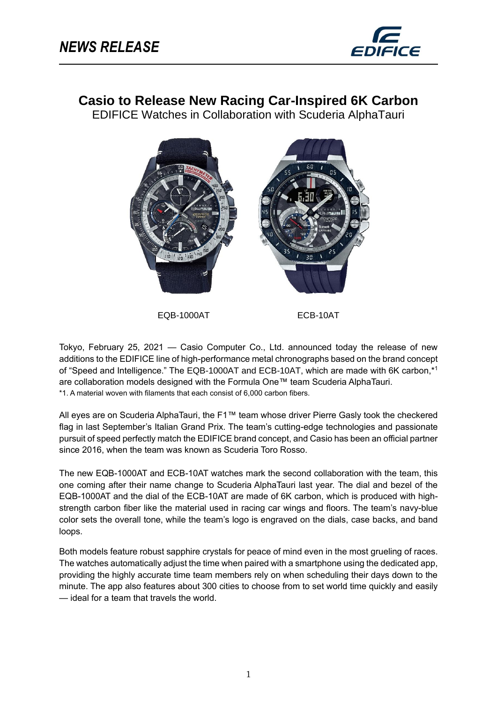֦



# **Casio to Release New Racing Car-Inspired 6K Carbon**

EDIFICE Watches in Collaboration with Scuderia AlphaTauri



EQB-1000AT ECB-10AT

Tokyo, February 25, 2021 — Casio Computer Co., Ltd. announced today the release of new additions to the EDIFICE line of high-performance metal chronographs based on the brand concept of "Speed and Intelligence." The EQB-1000AT and ECB-10AT, which are made with 6K carbon,\* 1 are collaboration models designed with the Formula One™ team Scuderia AlphaTauri. \*1. A material woven with filaments that each consist of 6,000 carbon fibers.

All eyes are on Scuderia AlphaTauri, the F1™ team whose driver Pierre Gasly took the checkered flag in last September's Italian Grand Prix. The team's cutting-edge technologies and passionate pursuit of speed perfectly match the EDIFICE brand concept, and Casio has been an official partner since 2016, when the team was known as Scuderia Toro Rosso.

The new EQB-1000AT and ECB-10AT watches mark the second collaboration with the team, this one coming after their name change to Scuderia AlphaTauri last year. The dial and bezel of the EQB-1000AT and the dial of the ECB-10AT are made of 6K carbon, which is produced with highstrength carbon fiber like the material used in racing car wings and floors. The team's navy-blue color sets the overall tone, while the team's logo is engraved on the dials, case backs, and band loops.

Both models feature robust sapphire crystals for peace of mind even in the most grueling of races. The watches automatically adjust the time when paired with a smartphone using the dedicated app, providing the highly accurate time team members rely on when scheduling their days down to the minute. The app also features about 300 cities to choose from to set world time quickly and easily — ideal for a team that travels the world.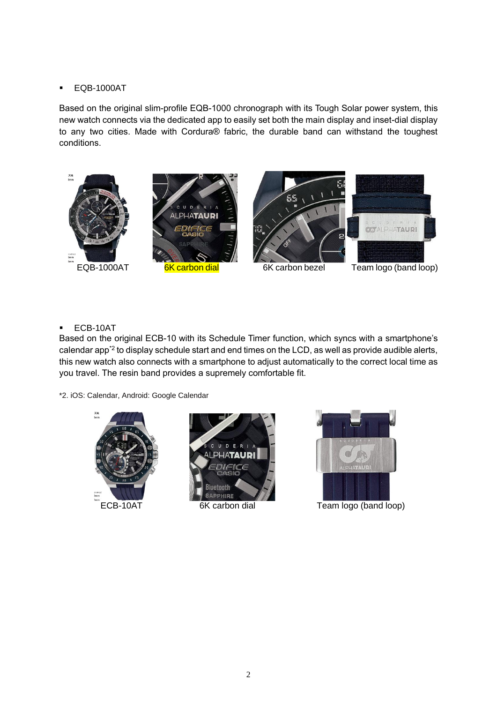#### ▪ EQB-1000AT

Based on the original slim-profile EQB-1000 chronograph with its Tough Solar power system, this new watch connects via the dedicated app to easily set both the main display and inset-dial display to any two cities. Made with Cordura® fabric, the durable band can withstand the toughest conditions.



#### ▪ ECB-10AT

Based on the original ECB-10 with its Schedule Timer function, which syncs with a smartphone's calendar app<sup>\*2</sup> to display schedule start and end times on the LCD, as well as provide audible alerts, this new watch also connects with a smartphone to adjust automatically to the correct local time as you travel. The resin band provides a supremely comfortable fit.

\*2. iOS: Calendar, Android: Google Calendar







ECB-10AT 6K carbon dial Team logo (band loop)